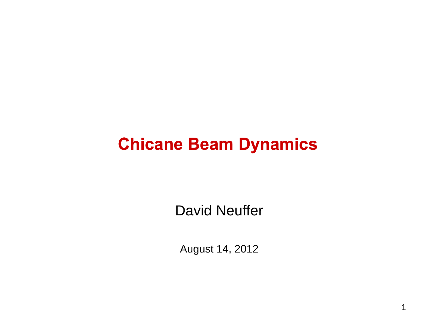## **Chicane Beam Dynamics**

**David Neuffer** 

August 14, 2012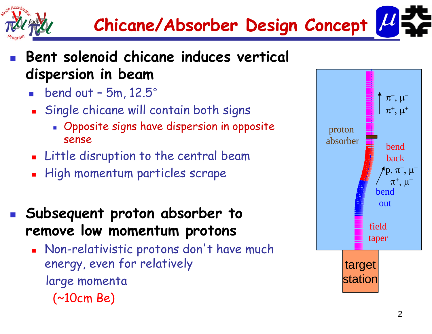



#### p. **Bent solenoid chicane induces vertical dispersion in beam**

- $\blacksquare$  bend out 5m, 12.5 $^\circ$
- П Single chicane will contain both signs
	- Opposite signs have dispersion in opposite sense
- **E** Little disruption to the central beam
- High momentum particles scrape
- **b b b Su bsequent proton a bsor ber to** P) **remove low momentum protons**
	- **Non-relativistic protons don't have much** Non-relativistic protons don't<br>energy, even for relatively large momenta (~10cm Be)

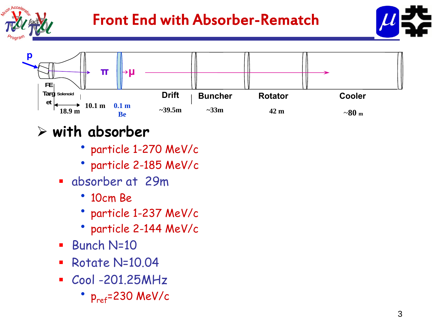

## Front End with Absorber-Rematch





- **i h b b with a bsor ber**
	- particle 1-270 MeV/c
	- particle 2 -185 MeV/c
	- absorber at 29m
		- 10cm Be
		- particle 1-237 MeV/c
		- particle 2-144 MeV/c
	- $\mathcal{L}_{\mathcal{A}}$ Bunch N=10
	- $\mathcal{L}_{\mathcal{A}}$ Rotate N=10.04
	- Cool -201.25MHz
		- ••  $p_{ref}$ =230 MeV/c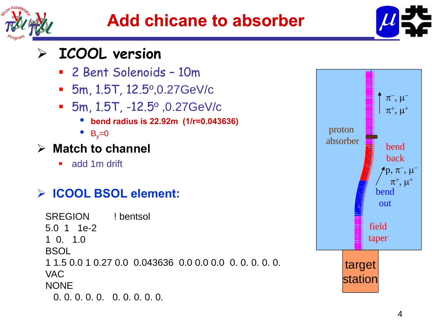



#### $\blacktriangleright$ **ICOOL version**

- 2 Bent Solenoids 10m
- $-$  5m, 1.5T, 12.5 $^{\rm o}$ ,0.27GeV/c
- $\blacksquare$  5m, 1.5T, -12.5º ,0.27GeV/c
	- •**bend radius is 22.92m (1/r=0.043636)**
	- $\bullet$  B<sub>y</sub>=0
- **Match to channel**
	- $\blacksquare$ add 1m drift

### **A** ICOOL BSOL element: **bend** bend

SREGION ! bentsol 5.0 1 1e-21 0. 1.0**BSOL** 1 1.5 0.0 1 0.27 0.0 0.043636 0.0 0.0 0.0 0. 0. 0. 0. 0. VACNONE0. 0. 0. 0. 0. 0. 0. 0. 0. 0.

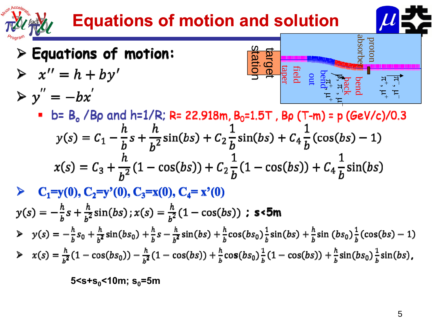# **Equations of motion and solution**



# $\triangleright$  Equations of motion:

 $\triangleright$   $x'' = h + by'$  $\triangleright$  y'' =  $-bx'$ 

$$
\begin{array}{c}\n\overbrace{\mathbf{r}}^{\mathsf{tr}}, \mu^+ \\
\overbrace{\mathbf{r}}^{\mathsf{tr}}, \mu^+ \\
\overbrace{\mathbf{r}}^{\mathsf{bnd}} \\
\overbrace{\mathbf{r}}^{\mathsf{bnd}} \\
\overbrace{\mathbf{r}}^{\mathsf{bnd}} \\
\overbrace{\mathbf{r}}^{\mathsf{cnd}} \\
\overbrace{\mathbf{r}}^{\mathsf{cnd}} \\
\overbrace{\mathbf{r}}^{\mathsf{cnd}} \\
\overbrace{\mathbf{r}}^{\mathsf{cnd}} \\
\overbrace{\mathbf{r}}^{\mathsf{cnd}} \\
\overbrace{\mathbf{r}}^{\mathsf{cnd}} \\
\overbrace{\mathbf{r}}^{\mathsf{cnd}} \\
\overbrace{\mathbf{r}}^{\mathsf{cnd}} \\
\overbrace{\mathbf{r}}^{\mathsf{cnd}} \\
\overbrace{\mathbf{r}}^{\mathsf{cnd}} \\
\overbrace{\mathbf{r}}^{\mathsf{cnd}} \\
\overbrace{\mathbf{r}}^{\mathsf{cnd}} \\
\overbrace{\mathbf{r}}^{\mathsf{cnd}} \\
\overbrace{\mathbf{r}}^{\mathsf{cnd}} \\
\overbrace{\mathbf{r}}^{\mathsf{cnd}} \\
\overbrace{\mathbf{r}}^{\mathsf{cnd}} \\
\overbrace{\mathbf{r}}^{\mathsf{cnd}} \\
\overbrace{\mathbf{r}}^{\mathsf{cnd}} \\
\overbrace{\mathbf{r}}^{\mathsf{cnd}} \\
\overbrace{\mathbf{r}}^{\mathsf{cnd}} \\
\overbrace{\mathbf{r}}^{\mathsf{cnd}} \\
\overbrace{\mathbf{r}}^{\mathsf{cnd}} \\
\overbrace{\mathbf{r}}^{\mathsf{cnd}} \\
\overbrace{\mathbf{r}}^{\mathsf{cnd}} \\
\overbrace{\mathbf{r}}^{\mathsf{cnd}} \\
\overbrace{\mathbf{r}}^{\mathsf{cnd}} \\
\overbrace{\mathbf{r}}^{\mathsf{cnd}} \\
\overbrace{\mathbf{r}}^{\mathsf{cnd}} \\
\overbrace{\mathbf{r}}^{\mathsf{cnd}} \\
\overbrace{\mathbf{r}}^{\mathsf{cnd}} \\
\overbrace{\mathbf{r}}^{\mathsf{cnd}} \\
\overbrace{\mathbf{r}}^{\mathsf{cnd}} \\
\overbrace{\mathbf{r}}^{\mathsf{cnd}} \\
\overbrace{\mathbf{r}}^{\mathsf{cnd}} \\
\overbrace{\mathbf{r}}^{\mathsf{cnd}} \\
\overbrace{\mathbf{r}}^{\mathsf{cnd}} \\
\overbrace{\mathbf{r
$$

• b=  $B_0$  /  $Bp$  and h=1/R; R= 22.918m,  $B_0$ =1.5T,  $Bp$  (T-m) = p (GeV/c)/0.3  $y(s) = C_1 - \frac{h}{h}s + \frac{h}{h^2}\sin(bs) + C_2\frac{1}{h}\sin(bs) + C_4\frac{1}{h}(\cos(bs) - 1)$  $x(s) = C_3 + \frac{h}{h^2}(1 - \cos(bs)) + C_2 \frac{1}{h}(1 - \cos(bs)) + C_4 \frac{1}{h}\sin(bs)$ 

 $C_1=y(0), C_2=y'(0), C_3=x(0), C_4=x'(0)$ 

$$
y(s) = -\frac{h}{b}s + \frac{h}{b^2}\sin(bs); x(s) = \frac{h}{b^2}(1 - \cos(bs))
$$
 : **s5m**  
\n
$$
y(s) = -\frac{h}{b}s_0 + \frac{h}{b^2}\sin(bs_0) + \frac{h}{b}s - \frac{h}{b^2}\sin(bs) + \frac{h}{b}\cos(bs_0)\frac{1}{b}\sin(bs) + \frac{h}{b}\sin(bs_0)\frac{1}{b}(\cos(bs) - 1)
$$
  
\n
$$
y(s) = \frac{h}{b^2}(1 - \cos(bs_0)) - \frac{h}{b^2}(1 - \cos(bs)) + \frac{h}{b}\cos(bs_0)\frac{1}{b}(1 - \cos(bs)) + \frac{h}{b}\sin(bs_0)\frac{1}{b}\sin(bs).
$$

 $5 <$ s+s<sub>0</sub> $<$ 10m; s<sub>0</sub>=5m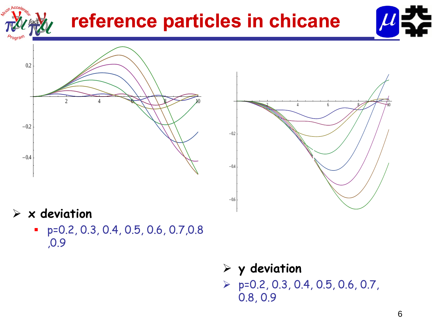

# **reference particles in chicane**







### **x deviation**

- p=0.2, 0.3, 0.4, 0.5, 0.6, 0.7,0.8 ,0.9
- **y deviation**  $\triangleright$  p=0.2, 0.3, 0.4, 0.5, 0.6, 0.7, 0.8, 0.9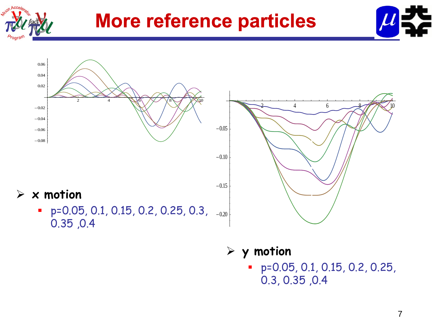

## **More reference particles**





**x motion**

 $\text{} = \textsf{p=0.05}$ , 0.1, 0.15, 0.2, 0.25, 0.3,  $\scriptstyle_{-0.20}$  $\mathcal{L}_{\mathcal{A}}$ 0.35 ,0.4



**ti y motion**

 p=0.05, 0.1, 0.15, 0.2, 0.25, 0.3, 0.35 ,0.4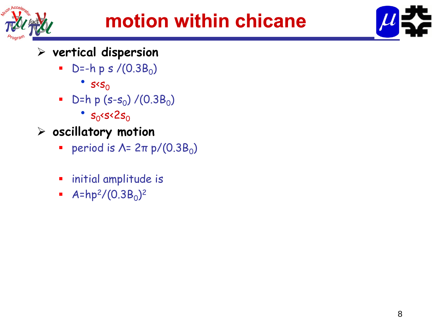



### **vertical dispersion**

- $\blacksquare$  D=-h p s /(0.3B $_{\rm 0})$ 
	- $s<sub>0</sub>$
- $\blacksquare$  D=h p (s-s $_0$ ) /(0.3B $_0$ )
	- ••  $s_0$ <s<2 $s_0$
- $>$  oscillatory motion
	- $\mathcal{L}_{\mathcal{A}}$  $\blacksquare$  period is  $\Lambda$ = 2π p/(0.3B<sub>0</sub>)
	- $\mathcal{L}_{\mathcal{A}}$ initial amplitude is
	- $\blacksquare$  $\blacksquare$  A=hp<sup>2</sup>/(0.3B<sub>0</sub>)<sup>2</sup>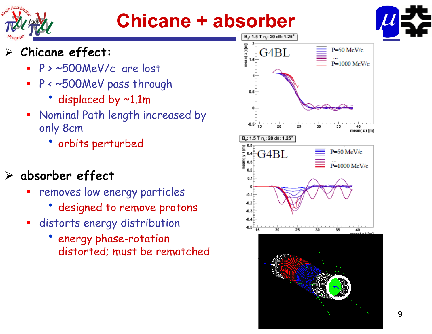

# **Chicane + absorber**



#### $\blacktriangleright$ **Chicane effect:**

- **Service Service** P > ~500MeV/c are lost
- τ P < ~500MeV pass through
	- displaced by ~1.1m
- $\blacksquare$  Nominal Path length increased by only 8cm
	- orbits perturbed

#### $\sum_{i=1}^{n}$ **absorber effect**

- τ removes low energy particles
	- designed to remove protons
- distorts energy distribution
	- energy phase-rotation distorted; must be rematched